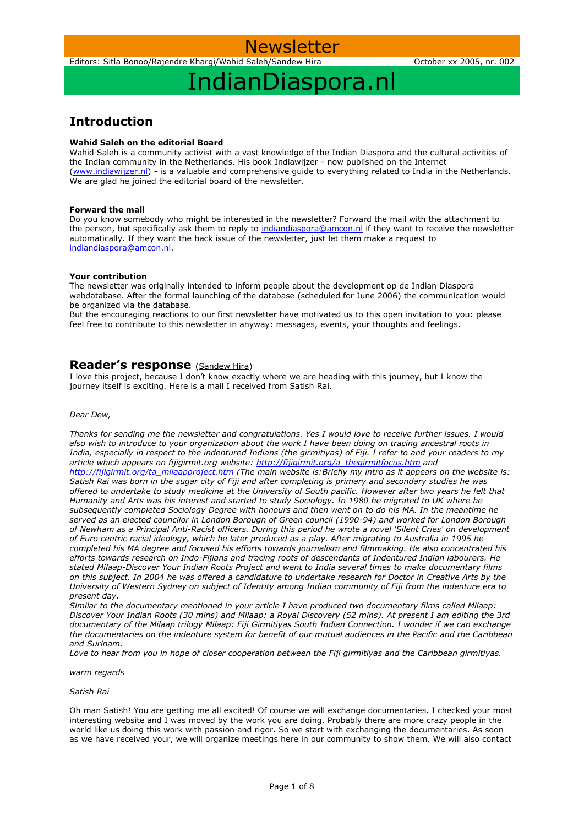Newsletter

## IndianDiaspora.nl

### **Introduction**

### **Wahid Saleh on the editorial Board**

Wahid Saleh is a community activist with a vast knowledge of the Indian Diaspora and the cultural activities of the Indian community in the Netherlands. His book Indiawijzer - now published on the Internet [\(www.indiawijzer.nl\)](http://www.indiawijzer.nl/) - is a valuable and comprehensive guide to everything related to India in the Netherlands. We are glad he joined the editorial board of the newsletter.

### **Forward the mail**

Do you know somebody who might be interested in the newsletter? Forward the mail with the attachment to the person, but specifically ask them to reply to [indiandiaspora@amcon.nl](mailto:indiandiaspora@amcon.nl) if they want to receive the newsletter automatically. If they want the back issue of the newsletter, just let them make a request to [indiandiaspora@amcon.nl.](mailto:indiandiaspora@amcon.nl)

### **Your contribution**

The newsletter was originally intended to inform people about the development op de Indian Diaspora webdatabase. After the formal launching of the database (scheduled for June 2006) the communication would be organized via the database.

But the encouraging reactions to our first newsletter have motivated us to this open invitation to you: please feel free to contribute to this newsletter in anyway: messages, events, your thoughts and feelings.

### **Reader's response** (Sandew Hira)

I love this project, because I don't know exactly where we are heading with this journey, but I know the journey itself is exciting. Here is a mail I received from Satish Rai.

#### *Dear Dew,*

*Thanks for sending me the newsletter and congratulations. Yes I would love to receive further issues. I would also wish to introduce to your organization about the work I have been doing on tracing ancestral roots in India, especially in respect to the indentured Indians (the girmitiyas) of Fiji. I refer to and your readers to my article which appears on fijigirmit.org website: [http://fijigirmit.org/a\\_thegirmitfocus.htm](http://fijigirmit.org/a_thegirmitfocus.htm) and [http://fijigirmit.org/ta\\_milaapproject.htm](http://fijigirmit.org/ta_milaapproject.htm) (The main website is:Briefly my intro as it appears on the website is: Satish Rai was born in the sugar city of Fiji and after completing is primary and secondary studies he was offered to undertake to study medicine at the University of South pacific. However after two years he felt that Humanity and Arts was his interest and started to study Sociology. In 1980 he migrated to UK where he subsequently completed Sociology Degree with honours and then went on to do his MA. In the meantime he served as an elected councilor in London Borough of Green council (1990-94) and worked for London Borough of Newham as a Principal Anti-Racist officers. During this period he wrote a novel 'Silent Cries' on development of Euro centric racial ideology, which he later produced as a play. After migrating to Australia in 1995 he completed his MA degree and focused his efforts towards journalism and filmmaking. He also concentrated his efforts towards research on Indo-Fijians and tracing roots of descendants of Indentured Indian labourers. He stated Milaap-Discover Your Indian Roots Project and went to India several times to make documentary films on this subject. In 2004 he was offered a candidature to undertake research for Doctor in Creative Arts by the University of Western Sydney on subject of Identity among Indian community of Fiji from the indenture era to present day.*

*Similar to the documentary mentioned in your article I have produced two documentary films called Milaap: Discover Your Indian Roots (30 mins) and Milaap: a Royal Discovery (52 mins). At present I am editing the 3rd documentary of the Milaap trilogy Milaap: Fiji Girmitiyas South Indian Connection. I wonder if we can exchange the documentaries on the indenture system for benefit of our mutual audiences in the Pacific and the Caribbean and Surinam.*

*Love to hear from you in hope of closer cooperation between the Fiji girmitiyas and the Caribbean girmitiyas.*

*warm regards*

### *Satish Rai*

Oh man Satish! You are getting me all excited! Of course we will exchange documentaries. I checked your most interesting website and I was moved by the work you are doing. Probably there are more crazy people in the world like us doing this work with passion and rigor. So we start with exchanging the documentaries. As soon as we have received your, we will organize meetings here in our community to show them. We will also contact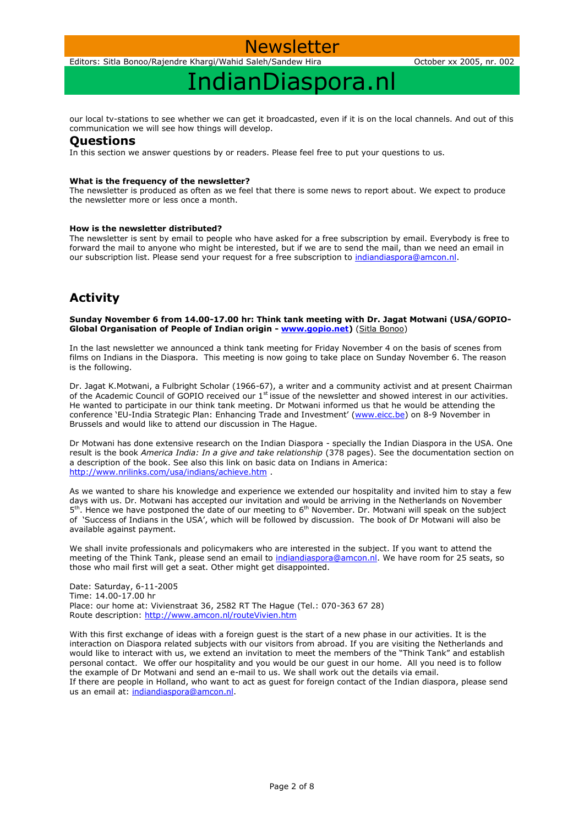

Editors: Sitla Bonoo/Rajendre Khargi/Wahid Saleh/Sandew Hira October xx 2005, nr. 002

## IndianDiaspora.nl

our local tv-stations to see whether we can get it broadcasted, even if it is on the local channels. And out of this communication we will see how things will develop.

### **Questions**

In this section we answer questions by or readers. Please feel free to put your questions to us.

### **What is the frequency of the newsletter?**

The newsletter is produced as often as we feel that there is some news to report about. We expect to produce the newsletter more or less once a month.

### **How is the newsletter distributed?**

The newsletter is sent by email to people who have asked for a free subscription by email. Everybody is free to forward the mail to anyone who might be interested, but if we are to send the mail, than we need an email in our subscription list. Please send your request for a free subscription to [indiandiaspora@amcon.nl.](mailto:indiandiaspora@amcon.nl)

### **Activity**

**Sunday November 6 from 14.00-17.00 hr: Think tank meeting with Dr. Jagat Motwani (USA/GOPIO-Global Organisation of People of Indian origin - [www.gopio.net\)](http://www.gopio.net/)** (Sitla Bonoo)

In the last newsletter we announced a think tank meeting for Friday November 4 on the basis of scenes from films on Indians in the Diaspora. This meeting is now going to take place on Sunday November 6. The reason is the following.

Dr. Jagat K.Motwani, a Fulbright Scholar (1966-67), a writer and a community activist and at present Chairman of the Academic Council of GOPIO received our 1st issue of the newsletter and showed interest in our activities. He wanted to participate in our think tank meeting. Dr Motwani informed us that he would be attending the conference 'EU-India Strategic Plan: Enhancing Trade and Investment' ([www.eicc.be\)](http://www.eicc.be/) on 8-9 November in Brussels and would like to attend our discussion in The Hague.

Dr Motwani has done extensive research on the Indian Diaspora - specially the Indian Diaspora in the USA. One result is the book *America India: In a give and take relationship* (378 pages). See the documentation section on a description of the book. See also this link on basic data on Indians in America: <http://www.nrilinks.com/usa/indians/achieve.htm> .

As we wanted to share his knowledge and experience we extended our hospitality and invited him to stay a few days with us. Dr. Motwani has accepted our invitation and would be arriving in the Netherlands on November 5<sup>th</sup>. Hence we have postponed the date of our meeting to 6<sup>th</sup> November. Dr. Motwani will speak on the subject of 'Success of Indians in the USA', which will be followed by discussion. The book of Dr Motwani will also be available against payment.

We shall invite professionals and policymakers who are interested in the subject. If you want to attend the meeting of the Think Tank, please send an email to [indiandiaspora@amcon.nl.](mailto:indiandiaspora@amcon.nl) We have room for 25 seats, so those who mail first will get a seat. Other might get disappointed.

Date: Saturday, 6-11-2005 Time: 14.00-17.00 hr Place: our home at: Vivienstraat 36, 2582 RT The Hague (Tel.: 070-363 67 28) Route description:<http://www.amcon.nl/routeVivien.htm>

With this first exchange of ideas with a foreign guest is the start of a new phase in our activities. It is the interaction on Diaspora related subjects with our visitors from abroad. If you are visiting the Netherlands and would like to interact with us, we extend an invitation to meet the members of the "Think Tank" and establish personal contact. We offer our hospitality and you would be our guest in our home. All you need is to follow the example of Dr Motwani and send an e-mail to us. We shall work out the details via email. If there are people in Holland, who want to act as guest for foreign contact of the Indian diaspora, please send us an email at: [indiandiaspora@amcon.nl.](mailto:indiandiaspora@amcon.nl)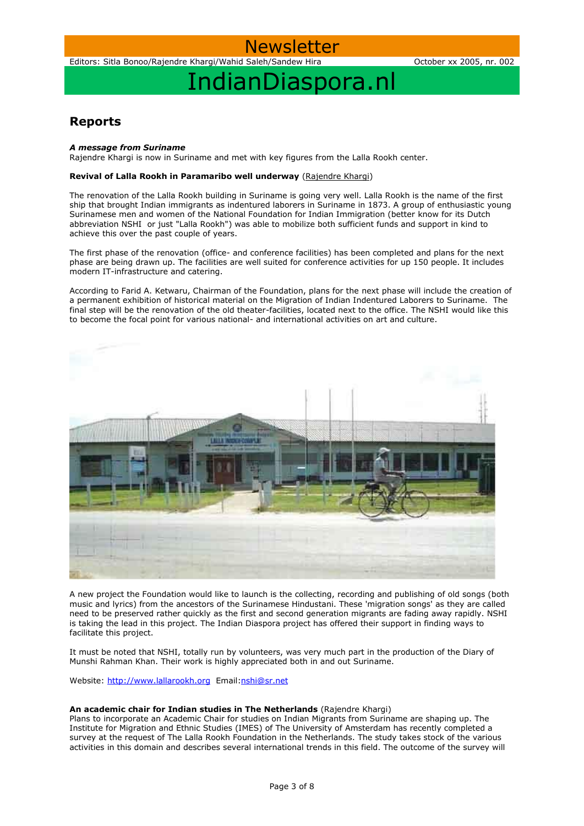

Editors: Sitla Bonoo/Rajendre Khargi/Wahid Saleh/Sandew Hira October xx 2005, nr. 002

## IndianDiaspora.nl

### **Reports**

### *A message from Suriname*

Rajendre Khargi is now in Suriname and met with key figures from the Lalla Rookh center.

### **Revival of Lalla Rookh in Paramaribo well underway** (Rajendre Khargi)

The renovation of the Lalla Rookh building in Suriname is going very well. Lalla Rookh is the name of the first ship that brought Indian immigrants as indentured laborers in Suriname in 1873. A group of enthusiastic young Surinamese men and women of the National Foundation for Indian Immigration (better know for its Dutch abbreviation NSHI or just "Lalla Rookh") was able to mobilize both sufficient funds and support in kind to achieve this over the past couple of years.

The first phase of the renovation (office- and conference facilities) has been completed and plans for the next phase are being drawn up. The facilities are well suited for conference activities for up 150 people. It includes modern IT-infrastructure and catering.

According to Farid A. Ketwaru, Chairman of the Foundation, plans for the next phase will include the creation of a permanent exhibition of historical material on the Migration of Indian Indentured Laborers to Suriname. The final step will be the renovation of the old theater-facilities, located next to the office. The NSHI would like this to become the focal point for various national- and international activities on art and culture.



A new project the Foundation would like to launch is the collecting, recording and publishing of old songs (both music and lyrics) from the ancestors of the Surinamese Hindustani. These 'migration songs' as they are called need to be preserved rather quickly as the first and second generation migrants are fading away rapidly. NSHI is taking the lead in this project. The Indian Diaspora project has offered their support in finding ways to facilitate this project.

It must be noted that NSHI, totally run by volunteers, was very much part in the production of the Diary of Munshi Rahman Khan. Their work is highly appreciated both in and out Suriname.

Website: [http://www.lallarookh.org](http://www.lallarookh.org/) Email[:nshi@sr.net](mailto:nshi@sr.net)

### **An academic chair for Indian studies in The Netherlands** (Rajendre Khargi)

Plans to incorporate an Academic Chair for studies on Indian Migrants from Suriname are shaping up. The Institute for Migration and Ethnic Studies (IMES) of The University of Amsterdam has recently completed a survey at the request of The Lalla Rookh Foundation in the Netherlands. The study takes stock of the various activities in this domain and describes several international trends in this field. The outcome of the survey will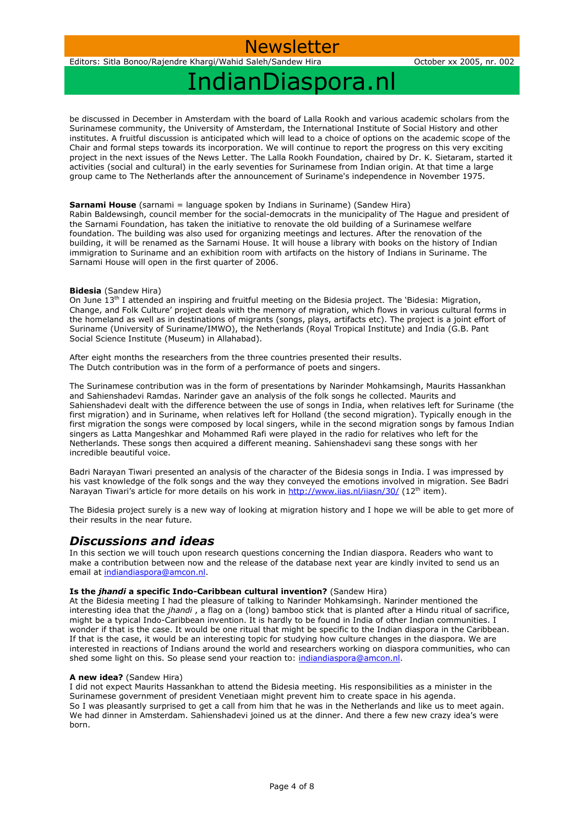Newsletter

## IndianDiaspora.nl

be discussed in December in Amsterdam with the board of Lalla Rookh and various academic scholars from the Surinamese community, the University of Amsterdam, the International Institute of Social History and other institutes. A fruitful discussion is anticipated which will lead to a choice of options on the academic scope of the Chair and formal steps towards its incorporation. We will continue to report the progress on this very exciting project in the next issues of the News Letter. The Lalla Rookh Foundation, chaired by Dr. K. Sietaram, started it activities (social and cultural) in the early seventies for Surinamese from Indian origin. At that time a large group came to The Netherlands after the announcement of Suriname's independence in November 1975.

### **Sarnami House** (sarnami = language spoken by Indians in Suriname) (Sandew Hira)

Rabin Baldewsingh, council member for the social-democrats in the municipality of The Hague and president of the Sarnami Foundation, has taken the initiative to renovate the old building of a Surinamese welfare foundation. The building was also used for organizing meetings and lectures. After the renovation of the building, it will be renamed as the Sarnami House. It will house a library with books on the history of Indian immigration to Suriname and an exhibition room with artifacts on the history of Indians in Suriname. The Sarnami House will open in the first quarter of 2006.

### **Bidesia** (Sandew Hira)

On June  $13<sup>th</sup>$  I attended an inspiring and fruitful meeting on the Bidesia project. The 'Bidesia: Migration, Change, and Folk Culture' project deals with the memory of migration, which flows in various cultural forms in the homeland as well as in destinations of migrants (songs, plays, artifacts etc). The project is a joint effort of Suriname (University of Suriname/IMWO), the Netherlands (Royal Tropical Institute) and India (G.B. Pant Social Science Institute (Museum) in Allahabad).

After eight months the researchers from the three countries presented their results. The Dutch contribution was in the form of a performance of poets and singers.

The Surinamese contribution was in the form of presentations by Narinder Mohkamsingh, Maurits Hassankhan and Sahienshadevi Ramdas. Narinder gave an analysis of the folk songs he collected. Maurits and Sahienshadevi dealt with the difference between the use of songs in India, when relatives left for Suriname (the first migration) and in Suriname, when relatives left for Holland (the second migration). Typically enough in the first migration the songs were composed by local singers, while in the second migration songs by famous Indian singers as Latta Mangeshkar and Mohammed Rafi were played in the radio for relatives who left for the Netherlands. These songs then acquired a different meaning. Sahienshadevi sang these songs with her incredible beautiful voice.

Badri Narayan Tiwari presented an analysis of the character of the Bidesia songs in India. I was impressed by his vast knowledge of the folk songs and the way they conveyed the emotions involved in migration. See Badri Narayan Tiwari's article for more details on his work in <http://www.iias.nl/iiasn/30/> (12<sup>th</sup> item).

The Bidesia project surely is a new way of looking at migration history and I hope we will be able to get more of their results in the near future.

### *Discussions and ideas*

In this section we will touch upon research questions concerning the Indian diaspora. Readers who want to make a contribution between now and the release of the database next year are kindly invited to send us an email at [indiandiaspora@amcon.nl.](mailto:indiandiaspora@amcon.nl)

### **Is the** *jhandi* **a specific Indo-Caribbean cultural invention?** (Sandew Hira)

At the Bidesia meeting I had the pleasure of talking to Narinder Mohkamsingh. Narinder mentioned the interesting idea that the *jhandi* , a flag on a (long) bamboo stick that is planted after a Hindu ritual of sacrifice, might be a typical Indo-Caribbean invention. It is hardly to be found in India of other Indian communities. I wonder if that is the case. It would be one ritual that might be specific to the Indian diaspora in the Caribbean. If that is the case, it would be an interesting topic for studying how culture changes in the diaspora. We are interested in reactions of Indians around the world and researchers working on diaspora communities, who can shed some light on this. So please send your reaction to: [indiandiaspora@amcon.nl.](mailto:indiandiaspora@amcon.nl)

### **A new idea?** (Sandew Hira)

I did not expect Maurits Hassankhan to attend the Bidesia meeting. His responsibilities as a minister in the Surinamese government of president Venetiaan might prevent him to create space in his agenda. So I was pleasantly surprised to get a call from him that he was in the Netherlands and like us to meet again. We had dinner in Amsterdam. Sahienshadevi joined us at the dinner. And there a few new crazy idea's were born.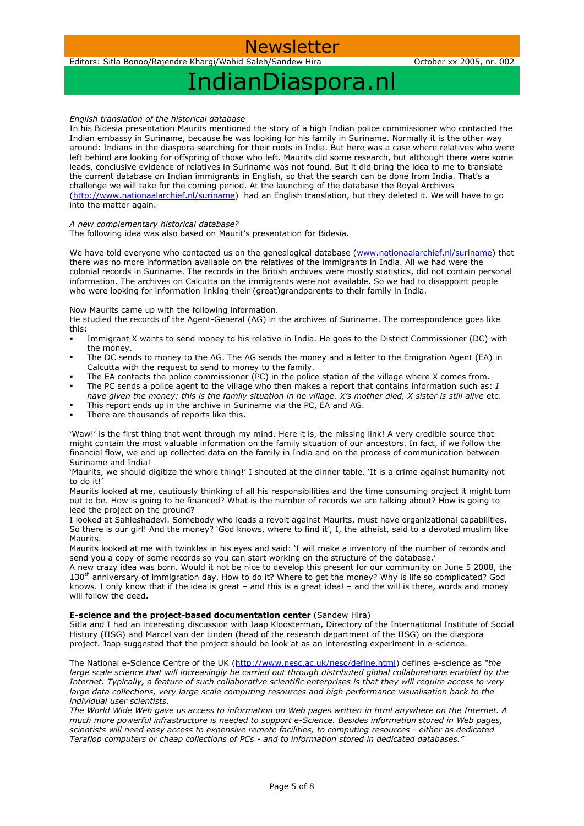## Newsl

Editors: Sitla Bonoo/Rajendre Khargi/Wahid Saleh/Sandew Hira October xx 2005, nr. 002

# IndianDiaspora.nl

*English translation of the historical database*

In his Bidesia presentation Maurits mentioned the story of a high Indian police commissioner who contacted the Indian embassy in Suriname, because he was looking for his family in Suriname. Normally it is the other way around: Indians in the diaspora searching for their roots in India. But here was a case where relatives who were left behind are looking for offspring of those who left. Maurits did some research, but although there were some leads, conclusive evidence of relatives in Suriname was not found. But it did bring the idea to me to translate the current database on Indian immigrants in English, so that the search can be done from India. That's a challenge we will take for the coming period. At the launching of the database the Royal Archives [\(http://www.nationaalarchief.nl/suriname\)](http://www.nationaalarchief.nl/suriname) had an English translation, but they deleted it. We will have to go into the matter again.

### *A new complementary historical database?*

The following idea was also based on Maurit's presentation for Bidesia.

We have told everyone who contacted us on the genealogical database [\(www.nationaalarchief.nl/suriname\)](http://www.nationaalarchief.nl/suriname) that there was no more information available on the relatives of the immigrants in India. All we had were the colonial records in Suriname. The records in the British archives were mostly statistics, did not contain personal information. The archives on Calcutta on the immigrants were not available. So we had to disappoint people who were looking for information linking their (great)grandparents to their family in India.

### Now Maurits came up with the following information.

He studied the records of the Agent-General (AG) in the archives of Suriname. The correspondence goes like this:

- Immigrant X wants to send money to his relative in India. He goes to the District Commissioner (DC) with the money.
- The DC sends to money to the AG. The AG sends the money and a letter to the Emigration Agent (EA) in Calcutta with the request to send to money to the family.
- The EA contacts the police commissioner (PC) in the police station of the village where X comes from.
- The PC sends a police agent to the village who then makes a report that contains information such as: *I have given the money; this is the family situation in he village. X's mother died, X sister is still alive* etc.
- This report ends up in the archive in Suriname via the PC, EA and AG.
- There are thousands of reports like this.

'Waw!' is the first thing that went through my mind. Here it is, the missing link! A very credible source that might contain the most valuable information on the family situation of our ancestors. In fact, if we follow the financial flow, we end up collected data on the family in India and on the process of communication between Suriname and India!

'Maurits, we should digitize the whole thing!' I shouted at the dinner table. 'It is a crime against humanity not to do it!'

Maurits looked at me, cautiously thinking of all his responsibilities and the time consuming project it might turn out to be. How is going to be financed? What is the number of records we are talking about? How is going to lead the project on the ground?

I looked at Sahieshadevi. Somebody who leads a revolt against Maurits, must have organizational capabilities. So there is our girl! And the money? 'God knows, where to find it', I, the atheist, said to a devoted muslim like Maurits.

Maurits looked at me with twinkles in his eyes and said: 'I will make a inventory of the number of records and send you a copy of some records so you can start working on the structure of the database.'

A new crazy idea was born. Would it not be nice to develop this present for our community on June 5 2008, the 130th anniversary of immigration day. How to do it? Where to get the money? Why is life so complicated? God knows. I only know that if the idea is great – and this is a great idea! – and the will is there, words and money will follow the deed.

### **E-science and the project-based documentation center (Sandew Hira)**

Sitla and I had an interesting discussion with Jaap Kloosterman, Directory of the International Institute of Social History (IISG) and Marcel van der Linden (head of the research department of the IISG) on the diaspora project. Jaap suggested that the project should be look at as an interesting experiment in e-science.

The National e-Science Centre of the UK [\(http://www.nesc.ac.uk/nesc/define.html\)](http://www.nesc.ac.uk/nesc/define.html) defines e-science as *"the large scale science that will increasingly be carried out through distributed global collaborations enabled by the Internet. Typically, a feature of such collaborative scientific enterprises is that they will require access to very large data collections, very large scale computing resources and high performance visualisation back to the individual user scientists.*

*The World Wide Web gave us access to information on Web pages written in html anywhere on the Internet. A much more powerful infrastructure is needed to support e-Science. Besides information stored in Web pages, scientists will need easy access to expensive remote facilities, to computing resources - either as dedicated Teraflop computers or cheap collections of PCs - and to information stored in dedicated databases."*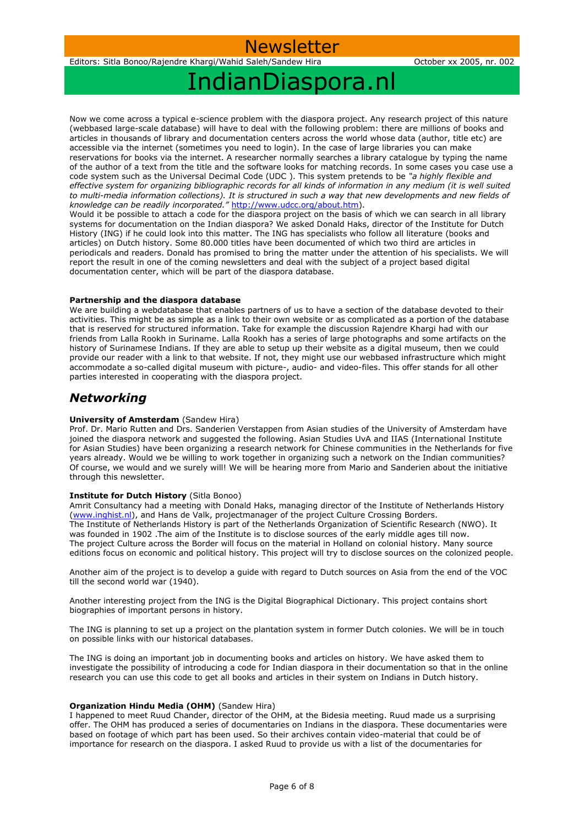# IndianDiaspora.nl

Now we come across a typical e-science problem with the diaspora project. Any research project of this nature (webbased large-scale database) will have to deal with the following problem: there are millions of books and articles in thousands of library and documentation centers across the world whose data (author, title etc) are accessible via the internet (sometimes you need to login). In the case of large libraries you can make reservations for books via the internet. A researcher normally searches a library catalogue by typing the name of the author of a text from the title and the software looks for matching records. In some cases you case use a code system such as the Universal Decimal Code (UDC ). This system pretends to be *"a highly flexible and*  effective system for organizing bibliographic records for all kinds of information in any medium (it is well suited *to multi-media information collections). It is structured in such a way that new developments and new fields of knowledge can be readily incorporated."* [http://www.udcc.org/about.htm\)](http://www.udcc.org/about.htm).

Would it be possible to attach a code for the diaspora project on the basis of which we can search in all library systems for documentation on the Indian diaspora? We asked Donald Haks, director of the Institute for Dutch History (ING) if he could look into this matter. The ING has specialists who follow all literature (books and articles) on Dutch history. Some 80.000 titles have been documented of which two third are articles in periodicals and readers. Donald has promised to bring the matter under the attention of his specialists. We will report the result in one of the coming newsletters and deal with the subject of a project based digital documentation center, which will be part of the diaspora database.

### **Partnership and the diaspora database**

We are building a webdatabase that enables partners of us to have a section of the database devoted to their activities. This might be as simple as a link to their own website or as complicated as a portion of the database that is reserved for structured information. Take for example the discussion Rajendre Khargi had with our friends from Lalla Rookh in Suriname. Lalla Rookh has a series of large photographs and some artifacts on the history of Surinamese Indians. If they are able to setup up their website as a digital museum, then we could provide our reader with a link to that website. If not, they might use our webbased infrastructure which might accommodate a so-called digital museum with picture-, audio- and video-files. This offer stands for all other parties interested in cooperating with the diaspora project.

### *Networking*

### **University of Amsterdam** (Sandew Hira)

Prof. Dr. Mario Rutten and Drs. Sanderien Verstappen from Asian studies of the University of Amsterdam have joined the diaspora network and suggested the following. Asian Studies UvA and IIAS (International Institute for Asian Studies) have been organizing a research network for Chinese communities in the Netherlands for five years already. Would we be willing to work together in organizing such a network on the Indian communities? Of course, we would and we surely will! We will be hearing more from Mario and Sanderien about the initiative through this newsletter.

### **Institute for Dutch History** (Sitla Bonoo)

Amrit Consultancy had a meeting with Donald Haks, managing director of the Institute of Netherlands History [\(www.inghist.nl\)](http://www.inghist.nl/), and Hans de Valk, projectmanager of the project Culture Crossing Borders. The Institute of Netherlands History is part of the Netherlands Organization of Scientific Research (NWO). It was founded in 1902 .The aim of the Institute is to disclose sources of the early middle ages till now. The project Culture across the Border will focus on the material in Holland on colonial history. Many source editions focus on economic and political history. This project will try to disclose sources on the colonized people.

Another aim of the project is to develop a guide with regard to Dutch sources on Asia from the end of the VOC till the second world war (1940).

Another interesting project from the ING is the Digital Biographical Dictionary. This project contains short biographies of important persons in history.

The ING is planning to set up a project on the plantation system in former Dutch colonies. We will be in touch on possible links with our historical databases.

The ING is doing an important job in documenting books and articles on history. We have asked them to investigate the possibility of introducing a code for Indian diaspora in their documentation so that in the online research you can use this code to get all books and articles in their system on Indians in Dutch history.

### **Organization Hindu Media (OHM)** (Sandew Hira)

I happened to meet Ruud Chander, director of the OHM, at the Bidesia meeting. Ruud made us a surprising offer. The OHM has produced a series of documentaries on Indians in the diaspora. These documentaries were based on footage of which part has been used. So their archives contain video-material that could be of importance for research on the diaspora. I asked Ruud to provide us with a list of the documentaries for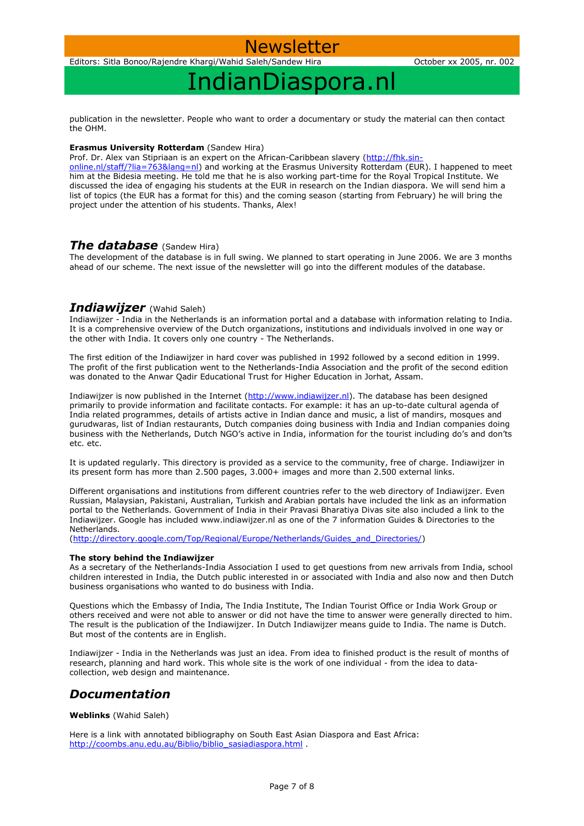## Newsl

Editors: Sitla Bonoo/Rajendre Khargi/Wahid Saleh/Sandew Hira October xx 2005, nr. 002

## IndianDiaspora.nl

publication in the newsletter. People who want to order a documentary or study the material can then contact the OHM.

### **Erasmus University Rotterdam** (Sandew Hira)

Prof. Dr. Alex van Stipriaan is an expert on the African-Caribbean slavery [\(http://fhk.sin-](http://fhk.sin-online.nl/staff/?lia=763&lang=nl)

[online.nl/staff/?lia=763&lang=nl\)](http://fhk.sin-online.nl/staff/?lia=763&lang=nl) and working at the Erasmus University Rotterdam (EUR). I happened to meet him at the Bidesia meeting. He told me that he is also working part-time for the Royal Tropical Institute. We discussed the idea of engaging his students at the EUR in research on the Indian diaspora. We will send him a list of topics (the EUR has a format for this) and the coming season (starting from February) he will bring the project under the attention of his students. Thanks, Alex!

### *The database* (Sandew Hira)

The development of the database is in full swing. We planned to start operating in June 2006. We are 3 months ahead of our scheme. The next issue of the newsletter will go into the different modules of the database.

### *Indiawijzer* (Wahid Saleh)

Indiawijzer - India in the Netherlands is an information portal and a database with information relating to India. It is a comprehensive overview of the Dutch organizations, institutions and individuals involved in one way or the other with India. It covers only one country - The Netherlands.

The first edition of the Indiawijzer in hard cover was published in 1992 followed by a second edition in 1999. The profit of the first publication went to the Netherlands-India Association and the profit of the second edition was donated to the Anwar Qadir Educational Trust for Higher Education in Jorhat, Assam.

Indiawijzer is now published in the Internet [\(http://www.indiawijzer.nl\)](http://www.indiawijzer.nl/). The database has been designed primarily to provide information and facilitate contacts. For example: it has an up-to-date cultural agenda of India related programmes, details of artists active in Indian dance and music, a list of mandirs, mosques and gurudwaras, list of Indian restaurants, Dutch companies doing business with India and Indian companies doing business with the Netherlands, Dutch NGO's active in India, information for the tourist including do's and don'ts etc. etc.

It is updated regularly. This directory is provided as a service to the community, free of charge. Indiawijzer in its present form has more than 2.500 pages, 3.000+ images and more than 2.500 external links.

Different organisations and institutions from different countries refer to the web directory of Indiawijzer. Even Russian, Malaysian, Pakistani, Australian, Turkish and Arabian portals have included the link as an information portal to the Netherlands. Government of India in their Pravasi Bharatiya Divas site also included a link to the Indiawijzer. Google has included www.indiawijzer.nl as one of the 7 information Guides & Directories to the Netherlands.

[\(http://directory.google.com/Top/Regional/Europe/Netherlands/Guides\\_and\\_Directories/\)](http://directory.google.com/Top/Regional/Europe/Netherlands/Guides_and_Directories/)

### **The story behind the Indiawijzer**

As a secretary of the Netherlands-India Association I used to get questions from new arrivals from India, school children interested in India, the Dutch public interested in or associated with India and also now and then Dutch business organisations who wanted to do business with India.

Questions which the Embassy of India, The India Institute, The Indian Tourist Office or India Work Group or others received and were not able to answer or did not have the time to answer were generally directed to him. The result is the publication of the Indiawijzer. In Dutch Indiawijzer means guide to India. The name is Dutch. But most of the contents are in English.

Indiawijzer - India in the Netherlands was just an idea. From idea to finished product is the result of months of research, planning and hard work. This whole site is the work of one individual - from the idea to datacollection, web design and maintenance.

### *Documentation*

**Weblinks** (Wahid Saleh)

Here is a link with annotated bibliography on South East Asian Diaspora and East Africa: [http://coombs.anu.edu.au/Biblio/biblio\\_sasiadiaspora.html](http://coombs.anu.edu.au/Biblio/biblio_sasiadiaspora.html) .